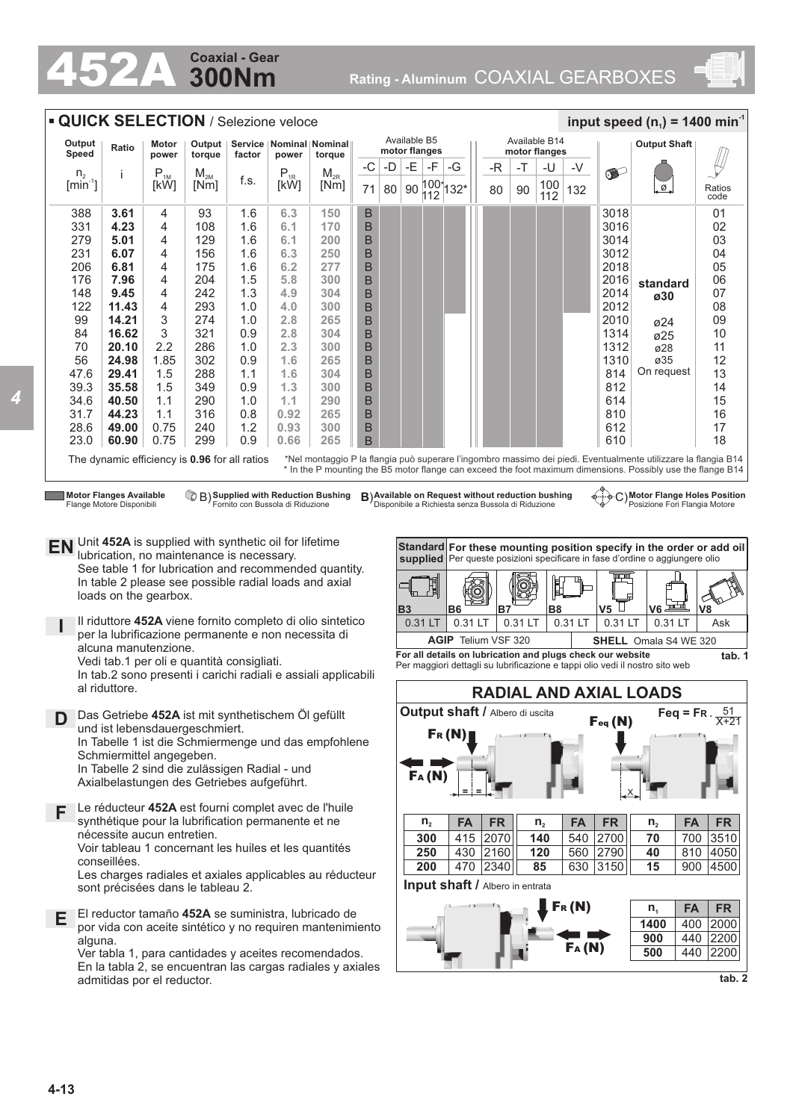## **300Nm Coaxial - Gear**

452A **Rating - Aluminum** COAXIAL GEARBOXES





*4*